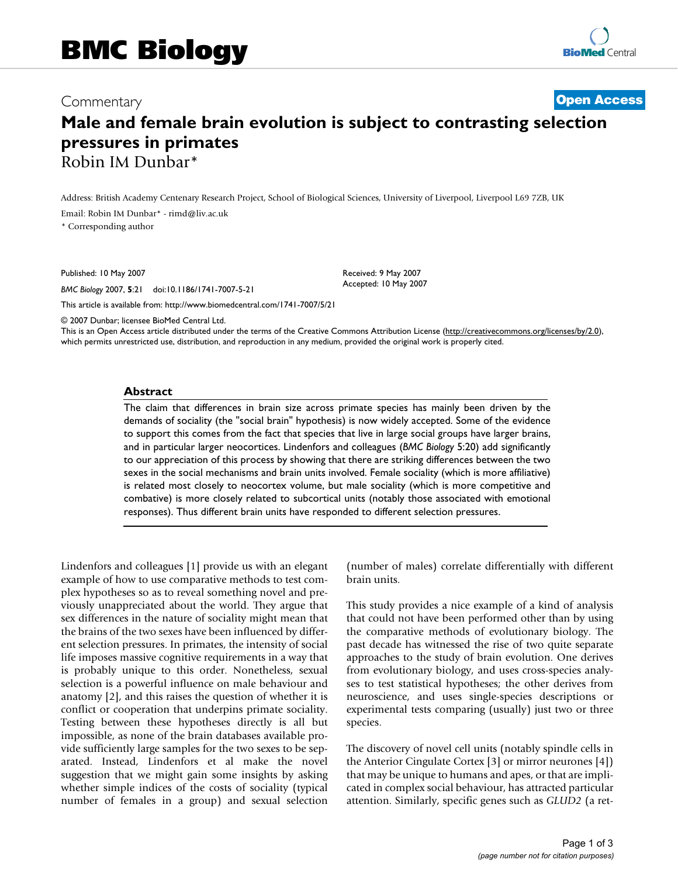## Commentary **[Open Access](http://www.biomedcentral.com/info/about/charter/)**

## **Male and female brain evolution is subject to contrasting selection pressures in primates** Robin IM Dunbar\*

Address: British Academy Centenary Research Project, School of Biological Sciences, University of Liverpool, Liverpool L69 7ZB, UK

Email: Robin IM Dunbar\* - rimd@liv.ac.uk

\* Corresponding author

Published: 10 May 2007

*BMC Biology* 2007, **5**:21 doi:10.1186/1741-7007-5-21

[This article is available from: http://www.biomedcentral.com/1741-7007/5/21](http://www.biomedcentral.com/1741-7007/5/21)

© 2007 Dunbar; licensee BioMed Central Ltd.

This is an Open Access article distributed under the terms of the Creative Commons Attribution License [\(http://creativecommons.org/licenses/by/2.0\)](http://creativecommons.org/licenses/by/2.0), which permits unrestricted use, distribution, and reproduction in any medium, provided the original work is properly cited.

Received: 9 May 2007 Accepted: 10 May 2007

## **Abstract**

The claim that differences in brain size across primate species has mainly been driven by the demands of sociality (the "social brain" hypothesis) is now widely accepted. Some of the evidence to support this comes from the fact that species that live in large social groups have larger brains, and in particular larger neocortices. Lindenfors and colleagues (*BMC Biology* 5:20) add significantly to our appreciation of this process by showing that there are striking differences between the two sexes in the social mechanisms and brain units involved. Female sociality (which is more affiliative) is related most closely to neocortex volume, but male sociality (which is more competitive and combative) is more closely related to subcortical units (notably those associated with emotional responses). Thus different brain units have responded to different selection pressures.

Lindenfors and colleagues [1] provide us with an elegant example of how to use comparative methods to test complex hypotheses so as to reveal something novel and previously unappreciated about the world. They argue that sex differences in the nature of sociality might mean that the brains of the two sexes have been influenced by different selection pressures. In primates, the intensity of social life imposes massive cognitive requirements in a way that is probably unique to this order. Nonetheless, sexual selection is a powerful influence on male behaviour and anatomy [2], and this raises the question of whether it is conflict or cooperation that underpins primate sociality. Testing between these hypotheses directly is all but impossible, as none of the brain databases available provide sufficiently large samples for the two sexes to be separated. Instead, Lindenfors et al make the novel suggestion that we might gain some insights by asking whether simple indices of the costs of sociality (typical number of females in a group) and sexual selection (number of males) correlate differentially with different brain units.

This study provides a nice example of a kind of analysis that could not have been performed other than by using the comparative methods of evolutionary biology. The past decade has witnessed the rise of two quite separate approaches to the study of brain evolution. One derives from evolutionary biology, and uses cross-species analyses to test statistical hypotheses; the other derives from neuroscience, and uses single-species descriptions or experimental tests comparing (usually) just two or three species.

The discovery of novel cell units (notably spindle cells in the Anterior Cingulate Cortex [3] or mirror neurones [4]) that may be unique to humans and apes, or that are implicated in complex social behaviour, has attracted particular attention. Similarly, specific genes such as *GLUD2* (a ret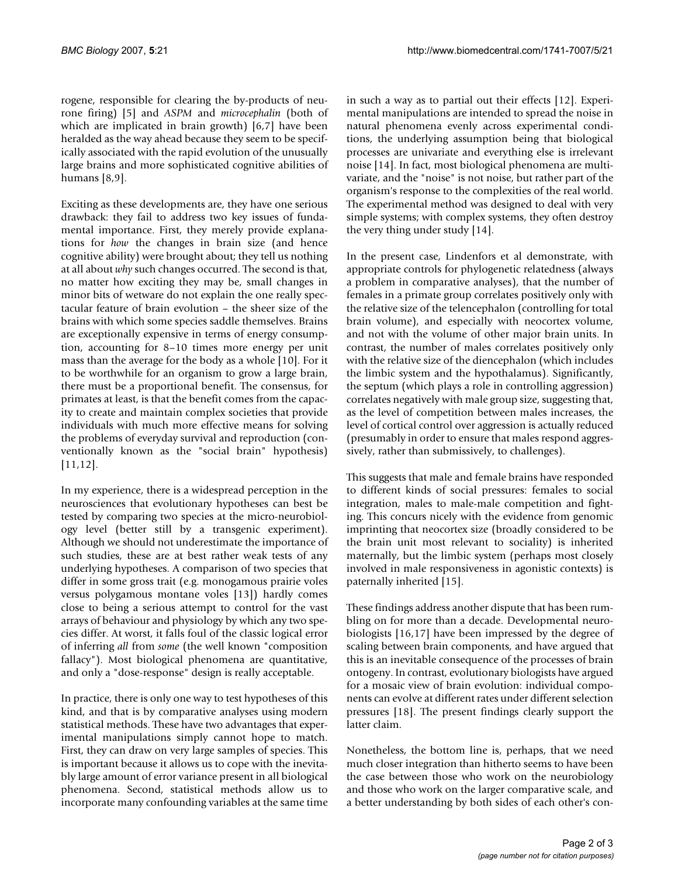rogene, responsible for clearing the by-products of neurone firing) [5] and *ASPM* and *microcephalin* (both of which are implicated in brain growth) [6,7] have been heralded as the way ahead because they seem to be specifically associated with the rapid evolution of the unusually large brains and more sophisticated cognitive abilities of humans [8,9].

Exciting as these developments are, they have one serious drawback: they fail to address two key issues of fundamental importance. First, they merely provide explanations for *how* the changes in brain size (and hence cognitive ability) were brought about; they tell us nothing at all about *why* such changes occurred. The second is that, no matter how exciting they may be, small changes in minor bits of wetware do not explain the one really spectacular feature of brain evolution – the sheer size of the brains with which some species saddle themselves. Brains are exceptionally expensive in terms of energy consumption, accounting for 8–10 times more energy per unit mass than the average for the body as a whole [10]. For it to be worthwhile for an organism to grow a large brain, there must be a proportional benefit. The consensus, for primates at least, is that the benefit comes from the capacity to create and maintain complex societies that provide individuals with much more effective means for solving the problems of everyday survival and reproduction (conventionally known as the "social brain" hypothesis) [11,12].

In my experience, there is a widespread perception in the neurosciences that evolutionary hypotheses can best be tested by comparing two species at the micro-neurobiology level (better still by a transgenic experiment). Although we should not underestimate the importance of such studies, these are at best rather weak tests of any underlying hypotheses. A comparison of two species that differ in some gross trait (e.g. monogamous prairie voles versus polygamous montane voles [13]) hardly comes close to being a serious attempt to control for the vast arrays of behaviour and physiology by which any two species differ. At worst, it falls foul of the classic logical error of inferring *all* from *some* (the well known "composition fallacy"). Most biological phenomena are quantitative, and only a "dose-response" design is really acceptable.

In practice, there is only one way to test hypotheses of this kind, and that is by comparative analyses using modern statistical methods. These have two advantages that experimental manipulations simply cannot hope to match. First, they can draw on very large samples of species. This is important because it allows us to cope with the inevitably large amount of error variance present in all biological phenomena. Second, statistical methods allow us to incorporate many confounding variables at the same time

in such a way as to partial out their effects [12]. Experimental manipulations are intended to spread the noise in natural phenomena evenly across experimental conditions, the underlying assumption being that biological processes are univariate and everything else is irrelevant noise [14]. In fact, most biological phenomena are multivariate, and the "noise" is not noise, but rather part of the organism's response to the complexities of the real world. The experimental method was designed to deal with very simple systems; with complex systems, they often destroy the very thing under study [14].

In the present case, Lindenfors et al demonstrate, with appropriate controls for phylogenetic relatedness (always a problem in comparative analyses), that the number of females in a primate group correlates positively only with the relative size of the telencephalon (controlling for total brain volume), and especially with neocortex volume, and not with the volume of other major brain units. In contrast, the number of males correlates positively only with the relative size of the diencephalon (which includes the limbic system and the hypothalamus). Significantly, the septum (which plays a role in controlling aggression) correlates negatively with male group size, suggesting that, as the level of competition between males increases, the level of cortical control over aggression is actually reduced (presumably in order to ensure that males respond aggressively, rather than submissively, to challenges).

This suggests that male and female brains have responded to different kinds of social pressures: females to social integration, males to male-male competition and fighting. This concurs nicely with the evidence from genomic imprinting that neocortex size (broadly considered to be the brain unit most relevant to sociality) is inherited maternally, but the limbic system (perhaps most closely involved in male responsiveness in agonistic contexts) is paternally inherited [15].

These findings address another dispute that has been rumbling on for more than a decade. Developmental neurobiologists [16,17] have been impressed by the degree of scaling between brain components, and have argued that this is an inevitable consequence of the processes of brain ontogeny. In contrast, evolutionary biologists have argued for a mosaic view of brain evolution: individual components can evolve at different rates under different selection pressures [18]. The present findings clearly support the latter claim.

Nonetheless, the bottom line is, perhaps, that we need much closer integration than hitherto seems to have been the case between those who work on the neurobiology and those who work on the larger comparative scale, and a better understanding by both sides of each other's con-